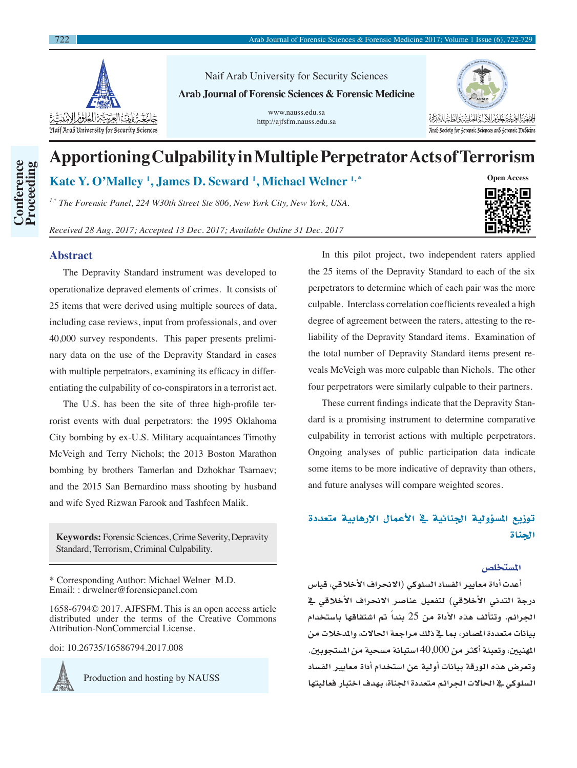

Naif Arab University for Security Sciences **Arab Journal of Forensic Sciences & Forensic Medicine**

> www.nauss.edu.sa http://ajfsfm.nauss.edu.sa



# **Apportioning Culpability in Multiple Perpetrator Acts of Terrorism**

**Kate Y. O'Malley 1 , James D. Seward 1 , Michael Welner 1, \***

*1,\* The Forensic Panel, 224 W30th Street Ste 806, New York City, New York, USA.*

*Received 28 Aug. 2017; Accepted 13 Dec. 2017; Available Online 31 Dec. 2017*

## **Abstract**

**Conference Proceeding**

**Conference**<br>Proceeding

The Depravity Standard instrument was developed to operationalize depraved elements of crimes. It consists of 25 items that were derived using multiple sources of data, including case reviews, input from professionals, and over 40,000 survey respondents. This paper presents preliminary data on the use of the Depravity Standard in cases with multiple perpetrators, examining its efficacy in differentiating the culpability of co-conspirators in a terrorist act.

The U.S. has been the site of three high-profile terrorist events with dual perpetrators: the 1995 Oklahoma City bombing by ex-U.S. Military acquaintances Timothy McVeigh and Terry Nichols; the 2013 Boston Marathon bombing by brothers Tamerlan and Dzhokhar Tsarnaev; and the 2015 San Bernardino mass shooting by husband and wife Syed Rizwan Farook and Tashfeen Malik.

**Keywords:** Forensic Sciences, Crime Severity, Depravity Standard, Terrorism, Criminal Culpability.

\* Corresponding Author: Michael Welner M.D. Email: : drwelner@forensicpanel.com

1658-6794© 2017. AJFSFM. This is an open access article distributed under the terms of the Creative Commons Attribution-NonCommercial License.

doi: 10.26735/16586794.2017.008



Production and hosting by NAUSS

In this pilot project, two independent raters applied the 25 items of the Depravity Standard to each of the six perpetrators to determine which of each pair was the more culpable. Interclass correlation coefficients revealed a high degree of agreement between the raters, attesting to the reliability of the Depravity Standard items. Examination of the total number of Depravity Standard items present reveals McVeigh was more culpable than Nichols. The other four perpetrators were similarly culpable to their partners.

These current findings indicate that the Depravity Standard is a promising instrument to determine comparative culpability in terrorist actions with multiple perpetrators. Ongoing analyses of public participation data indicate some items to be more indicative of depravity than others, and future analyses will compare weighted scores.

## توزيع المسؤولية الجنائية يف الأعمال الإرهابية متعددة اجلناة

## المستخلص

**أعدت أداة معايري الف�ساد ال�سلوكي )االنحراف الأخالقي، قيا�س درجة التدين الأخالقي( لتفعيل عنا�صر االنحراف الأخالقي يف**  ا**ن**جرائم. وتتألف هذه الأداة من 25 بندا<sup>ً</sup> تم اشتقاقها باستخدام **بيانات متعددة امل�صادر، مبا يف ذلك مراجعة احلاالت، واملدخالت من**  المهنيين، وتعبئة أكثر من 40,000 استبانة مسحية من الم*س*تجوبين. **وتعر�ض هذه الورقة بيانات أولية عن ا�ستخدام أداة معايري الف�ساد ال�سلوكي يف احلاالت اجلرائم متعددة اجلناة، بهدف اختبار فعاليتها** 

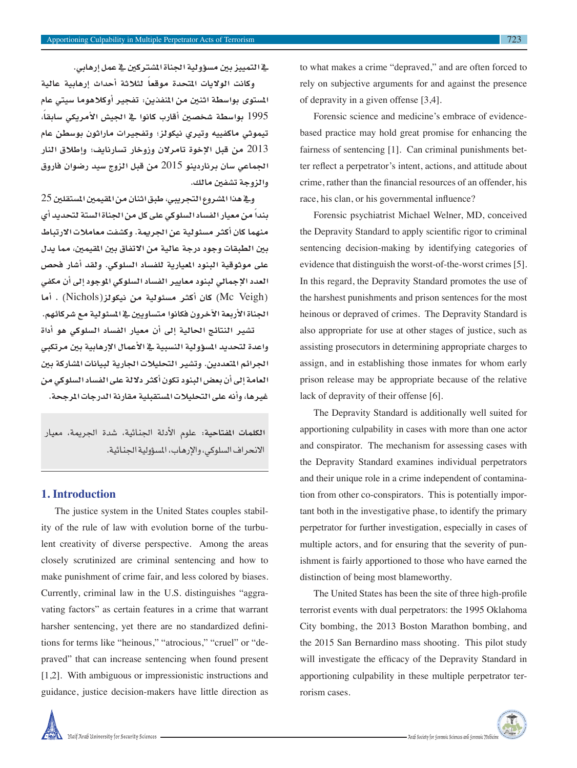723

**يف التمييز بني م�س ؤولية اجلناة امل�شرتكني يف عمل إرهابي.**

وكانت الولايات المتحدة موقعا<sup>ً</sup> لثلاثة أحداث إرهابية عالية **امل�ستوى بوا�سطة اثنني من املنفذين: تفجري أوكالهوما �سيتي عام**  1995 بواسطة شخصين أقارب كانوا <u>ي</u>ة الجيش الأمريكي سابقاً، **تيموثي ماكفييه وتريي نيكولز؛ وتفجريات ماراثون بو�سطن عام**  2013 **من قبل الإخوة تامرالن وزوخار ت�سارنايف؛ وإطالق النار اجلماعي �سان برناردينو** 2015 **من قبل الزوج �سيد ر�ضوان فاروق والزوجة ت�شفني مالك.**

**ويف هذا امل�شروع التجريبي، طبق اثنان من املقيمني امل�ستقلني** 25 **ً من معيار الف�ساد ال�سلوكي على كل من اجلناة ال�ستة لتحديد أي بندا** منهما كان أكثر *مسئو*لية عن الجريمة. وك*شفت مع*املات الارتباط **بني الطبقات وجود درجة عالية من االتفاق بني املقيمني، مما يدل على موثوقية البنود املعيارية للف�ساد ال�سلوكي. ولقد أ�شار فح�ص العدد الإجمايل لبنود معايري الف�ساد ال�سلوكي املوجود إىل أن مكفي )**Veigh Mc **)كان أكرث م�سئولية من نيكولز)**Nichols **). أما**  الجناة الأربعة الآخرون فكانوا مت*ساويين <u>ي</u>ة المسئو*لية مع شركائهم.

**ت�شري النتائج احلالية إىل أن معيار الف�ساد ال�سلوكي هو أداة واعدة لتحديد امل�س ؤولية الن�سبية يف الأعمال الإرهابية بني مرتكبي**  الجرائم المتعددين. وتشير التحليلات الجارية لبيانات المشاركة بي*ن* العامة إلى أن بعض البنود تكون أكثر دلالة على الفساد السلوكي من **غريها، وأنه على التحليالت امل�ستقبلية مقارنة الدرجات املرجحة.**

**الكلمات املفتاحية:** علوم الأدلة اجلنائية، �شدة اجلرمية، معيار الانحراف السلوكي، والإرهاب، المسؤولية الجنائية.

### **1. Introduction**

The justice system in the United States couples stability of the rule of law with evolution borne of the turbulent creativity of diverse perspective. Among the areas closely scrutinized are criminal sentencing and how to make punishment of crime fair, and less colored by biases. Currently, criminal law in the U.S. distinguishes "aggravating factors" as certain features in a crime that warrant harsher sentencing, yet there are no standardized definitions for terms like "heinous," "atrocious," "cruel" or "depraved" that can increase sentencing when found present [1,2]. With ambiguous or impressionistic instructions and guidance, justice decision-makers have little direction as to what makes a crime "depraved," and are often forced to rely on subjective arguments for and against the presence of depravity in a given offense [3,4].

Forensic science and medicine's embrace of evidencebased practice may hold great promise for enhancing the fairness of sentencing [1]. Can criminal punishments better reflect a perpetrator's intent, actions, and attitude about crime, rather than the financial resources of an offender, his race, his clan, or his governmental influence?

Forensic psychiatrist Michael Welner, MD, conceived the Depravity Standard to apply scientific rigor to criminal sentencing decision-making by identifying categories of evidence that distinguish the worst-of-the-worst crimes [5]. In this regard, the Depravity Standard promotes the use of the harshest punishments and prison sentences for the most heinous or depraved of crimes. The Depravity Standard is also appropriate for use at other stages of justice, such as assisting prosecutors in determining appropriate charges to assign, and in establishing those inmates for whom early prison release may be appropriate because of the relative lack of depravity of their offense [6].

The Depravity Standard is additionally well suited for apportioning culpability in cases with more than one actor and conspirator. The mechanism for assessing cases with the Depravity Standard examines individual perpetrators and their unique role in a crime independent of contamination from other co-conspirators. This is potentially important both in the investigative phase, to identify the primary perpetrator for further investigation, especially in cases of multiple actors, and for ensuring that the severity of punishment is fairly apportioned to those who have earned the distinction of being most blameworthy.

The United States has been the site of three high-profile terrorist events with dual perpetrators: the 1995 Oklahoma City bombing, the 2013 Boston Marathon bombing, and the 2015 San Bernardino mass shooting. This pilot study will investigate the efficacy of the Depravity Standard in apportioning culpability in these multiple perpetrator terrorism cases.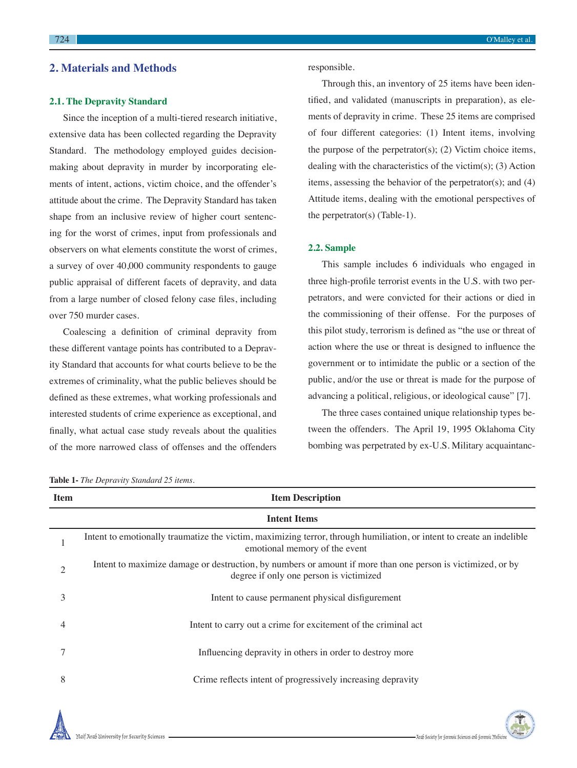## **2. Materials and Methods**

#### **2.1. The Depravity Standard**

Since the inception of a multi-tiered research initiative, extensive data has been collected regarding the Depravity Standard. The methodology employed guides decisionmaking about depravity in murder by incorporating elements of intent, actions, victim choice, and the offender's attitude about the crime. The Depravity Standard has taken shape from an inclusive review of higher court sentencing for the worst of crimes, input from professionals and observers on what elements constitute the worst of crimes, a survey of over 40,000 community respondents to gauge public appraisal of different facets of depravity, and data from a large number of closed felony case files, including over 750 murder cases.

Coalescing a definition of criminal depravity from these different vantage points has contributed to a Depravity Standard that accounts for what courts believe to be the extremes of criminality, what the public believes should be defined as these extremes, what working professionals and interested students of crime experience as exceptional, and finally, what actual case study reveals about the qualities of the more narrowed class of offenses and the offenders responsible.

Through this, an inventory of 25 items have been identified, and validated (manuscripts in preparation), as elements of depravity in crime. These 25 items are comprised of four different categories: (1) Intent items, involving the purpose of the perpetrator(s); (2) Victim choice items, dealing with the characteristics of the victim(s); (3) Action items, assessing the behavior of the perpetrator(s); and (4) Attitude items, dealing with the emotional perspectives of the perpetrator(s) (Table-1).

#### **2.2. Sample**

This sample includes 6 individuals who engaged in three high-profile terrorist events in the U.S. with two perpetrators, and were convicted for their actions or died in the commissioning of their offense. For the purposes of this pilot study, terrorism is defined as "the use or threat of action where the use or threat is designed to influence the government or to intimidate the public or a section of the public, and/or the use or threat is made for the purpose of advancing a political, religious, or ideological cause" [7].

The three cases contained unique relationship types between the offenders. The April 19, 1995 Oklahoma City bombing was perpetrated by ex-U.S. Military acquaintanc-

| <b>Item</b> | <b>Item Description</b>                                                                                                                                |  |  |  |  |  |  |
|-------------|--------------------------------------------------------------------------------------------------------------------------------------------------------|--|--|--|--|--|--|
|             | <b>Intent Items</b>                                                                                                                                    |  |  |  |  |  |  |
|             | Intent to emotionally traumatize the victim, maximizing terror, through humiliation, or intent to create an indelible<br>emotional memory of the event |  |  |  |  |  |  |
| 2           | Intent to maximize damage or destruction, by numbers or amount if more than one person is victimized, or by<br>degree if only one person is victimized |  |  |  |  |  |  |
| 3           | Intent to cause permanent physical disfigurement                                                                                                       |  |  |  |  |  |  |
|             | Intent to carry out a crime for excitement of the criminal act                                                                                         |  |  |  |  |  |  |
|             | Influencing depravity in others in order to destroy more                                                                                               |  |  |  |  |  |  |
| 8           | Crime reflects intent of progressively increasing depravity                                                                                            |  |  |  |  |  |  |

**Table 1-** *The Depravity Standard 25 items.*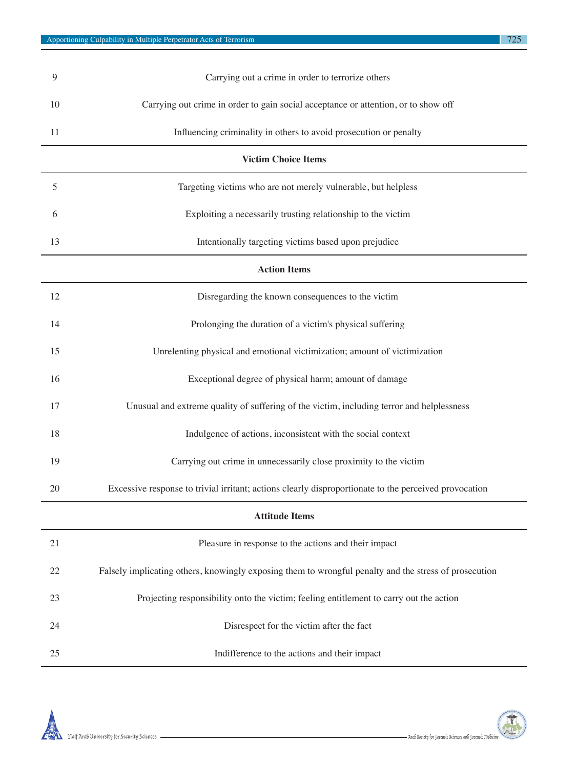| 9                          | Carrying out a crime in order to terrorize others                                  |  |  |  |  |
|----------------------------|------------------------------------------------------------------------------------|--|--|--|--|
| 10                         | Carrying out crime in order to gain social acceptance or attention, or to show off |  |  |  |  |
| 11                         | Influencing criminality in others to avoid prosecution or penalty                  |  |  |  |  |
| <b>Victim Choice Items</b> |                                                                                    |  |  |  |  |

| <b>Victim Choice Items</b> |                                                                                                       |  |  |  |  |  |
|----------------------------|-------------------------------------------------------------------------------------------------------|--|--|--|--|--|
| 5                          | Targeting victims who are not merely vulnerable, but helpless                                         |  |  |  |  |  |
| 6                          | Exploiting a necessarily trusting relationship to the victim                                          |  |  |  |  |  |
| 13                         | Intentionally targeting victims based upon prejudice                                                  |  |  |  |  |  |
| <b>Action Items</b>        |                                                                                                       |  |  |  |  |  |
| 12                         | Disregarding the known consequences to the victim                                                     |  |  |  |  |  |
| 14                         | Prolonging the duration of a victim's physical suffering                                              |  |  |  |  |  |
| 15                         | Unrelenting physical and emotional victimization; amount of victimization                             |  |  |  |  |  |
| 16                         | Exceptional degree of physical harm; amount of damage                                                 |  |  |  |  |  |
| 17                         | Unusual and extreme quality of suffering of the victim, including terror and helplessness             |  |  |  |  |  |
| 18                         | Indulgence of actions, inconsistent with the social context                                           |  |  |  |  |  |
| 19                         | Carrying out crime in unnecessarily close proximity to the victim                                     |  |  |  |  |  |
| 20                         | Excessive response to trivial irritant; actions clearly disproportionate to the perceived provocation |  |  |  |  |  |

#### **Attitude Items**

|    | Pleasure in response to the actions and their impact                                                  |
|----|-------------------------------------------------------------------------------------------------------|
| 22 | Falsely implicating others, knowingly exposing them to wrongful penalty and the stress of prosecution |
| 23 | Projecting responsibility onto the victim; feeling entitlement to carry out the action                |
| 24 | Disrespect for the victim after the fact                                                              |
| 25 | Indifference to the actions and their impact                                                          |



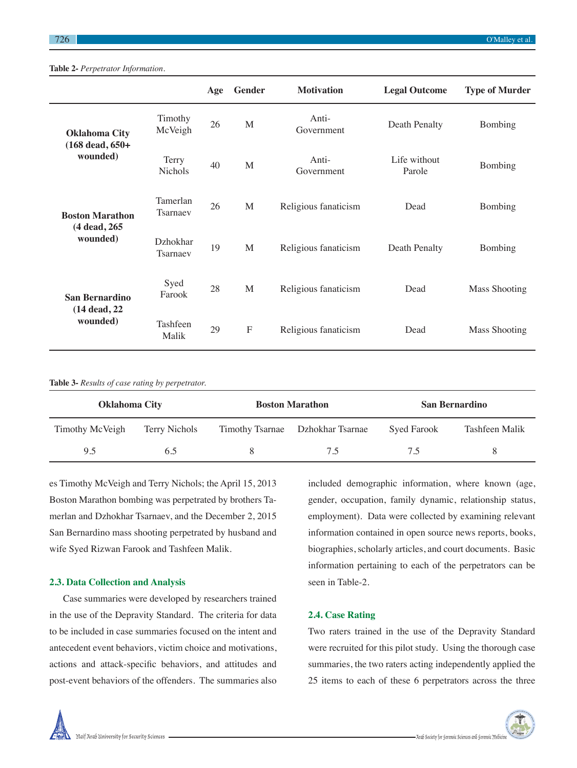|                                        |                         | Age | Gender       | <b>Motivation</b>    | <b>Legal Outcome</b>   | <b>Type of Murder</b> |
|----------------------------------------|-------------------------|-----|--------------|----------------------|------------------------|-----------------------|
| <b>Oklahoma City</b>                   | Timothy<br>McVeigh      | 26  | M            | Anti-<br>Government  | Death Penalty          | Bombing               |
| $(168 \text{ dead}, 650 +$<br>wounded) | Terry<br><b>Nichols</b> | 40  | M            | Anti-<br>Government  | Life without<br>Parole | Bombing               |
| <b>Boston Marathon</b>                 | Tamerlan<br>Tsarnaev    | 26  | M            | Religious fanaticism | Dead                   | Bombing               |
| (4 dead, 265)<br>wounded)              | Dzhokhar<br>Tsarnaev    | 19  | M            | Religious fanaticism | Death Penalty          | Bombing               |
| San Bernardino                         | Syed<br>Farook          | 28  | M            | Religious fanaticism | Dead                   | <b>Mass Shooting</b>  |
| (14 dead, 22)<br>wounded)              | Tashfeen<br>Malik       | 29  | $\mathbf{F}$ | Religious fanaticism | Dead                   | <b>Mass Shooting</b>  |

#### **Table 2-** *Perpetrator Information.*

**Table 3-** *Results of case rating by perpetrator.*

| <b>Oklahoma City</b> |               | <b>Boston Marathon</b>           | <b>San Bernardino</b> |                |  |
|----------------------|---------------|----------------------------------|-----------------------|----------------|--|
| Timothy McVeigh      | Terry Nichols | Timothy Tsarnae Dzhokhar Tsarnae | Syed Farook           | Tashfeen Malik |  |
| 9.5                  | 6.5           | 7.5                              | 7.5                   |                |  |

es Timothy McVeigh and Terry Nichols; the April 15, 2013 Boston Marathon bombing was perpetrated by brothers Tamerlan and Dzhokhar Tsarnaev, and the December 2, 2015 San Bernardino mass shooting perpetrated by husband and wife Syed Rizwan Farook and Tashfeen Malik.

#### **2.3. Data Collection and Analysis**

Case summaries were developed by researchers trained in the use of the Depravity Standard. The criteria for data to be included in case summaries focused on the intent and antecedent event behaviors, victim choice and motivations, actions and attack-specific behaviors, and attitudes and post-event behaviors of the offenders. The summaries also

included demographic information, where known (age, gender, occupation, family dynamic, relationship status, employment). Data were collected by examining relevant information contained in open source news reports, books, biographies, scholarly articles, and court documents. Basic information pertaining to each of the perpetrators can be seen in Table-2.

#### **2.4. Case Rating**

Two raters trained in the use of the Depravity Standard were recruited for this pilot study. Using the thorough case summaries, the two raters acting independently applied the 25 items to each of these 6 perpetrators across the three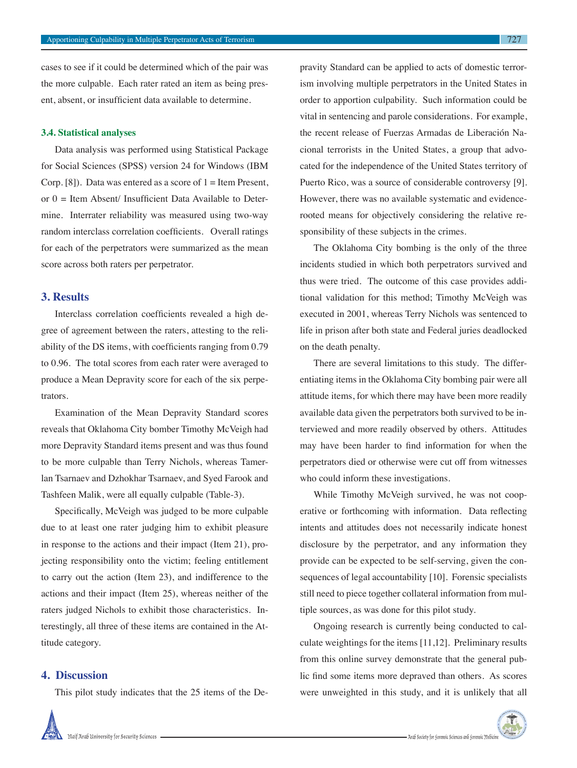cases to see if it could be determined which of the pair was the more culpable. Each rater rated an item as being present, absent, or insufficient data available to determine.

#### **3.4. Statistical analyses**

Data analysis was performed using Statistical Package for Social Sciences (SPSS) version 24 for Windows (IBM Corp. [8]). Data was entered as a score of  $1 =$  Item Present, or  $0 =$  Item Absent/ Insufficient Data Available to Determine. Interrater reliability was measured using two-way random interclass correlation coefficients. Overall ratings for each of the perpetrators were summarized as the mean score across both raters per perpetrator.

#### **3. Results**

Interclass correlation coefficients revealed a high degree of agreement between the raters, attesting to the reliability of the DS items, with coefficients ranging from 0.79 to 0.96. The total scores from each rater were averaged to produce a Mean Depravity score for each of the six perpetrators.

Examination of the Mean Depravity Standard scores reveals that Oklahoma City bomber Timothy McVeigh had more Depravity Standard items present and was thus found to be more culpable than Terry Nichols, whereas Tamerlan Tsarnaev and Dzhokhar Tsarnaev, and Syed Farook and Tashfeen Malik, were all equally culpable (Table-3).

Specifically, McVeigh was judged to be more culpable due to at least one rater judging him to exhibit pleasure in response to the actions and their impact (Item 21), projecting responsibility onto the victim; feeling entitlement to carry out the action (Item 23), and indifference to the actions and their impact (Item 25), whereas neither of the raters judged Nichols to exhibit those characteristics. Interestingly, all three of these items are contained in the Attitude category.

## **4. Discussion**

This pilot study indicates that the 25 items of the De-

pravity Standard can be applied to acts of domestic terrorism involving multiple perpetrators in the United States in order to apportion culpability. Such information could be vital in sentencing and parole considerations. For example, the recent release of Fuerzas Armadas de Liberación Nacional terrorists in the United States, a group that advocated for the independence of the United States territory of Puerto Rico, was a source of considerable controversy [9]. However, there was no available systematic and evidencerooted means for objectively considering the relative responsibility of these subjects in the crimes.

The Oklahoma City bombing is the only of the three incidents studied in which both perpetrators survived and thus were tried. The outcome of this case provides additional validation for this method; Timothy McVeigh was executed in 2001, whereas Terry Nichols was sentenced to life in prison after both state and Federal juries deadlocked on the death penalty.

There are several limitations to this study. The differentiating items in the Oklahoma City bombing pair were all attitude items, for which there may have been more readily available data given the perpetrators both survived to be interviewed and more readily observed by others. Attitudes may have been harder to find information for when the perpetrators died or otherwise were cut off from witnesses who could inform these investigations.

While Timothy McVeigh survived, he was not cooperative or forthcoming with information. Data reflecting intents and attitudes does not necessarily indicate honest disclosure by the perpetrator, and any information they provide can be expected to be self-serving, given the consequences of legal accountability [10]. Forensic specialists still need to piece together collateral information from multiple sources, as was done for this pilot study.

Ongoing research is currently being conducted to calculate weightings for the items [11,12]. Preliminary results from this online survey demonstrate that the general public find some items more depraved than others. As scores were unweighted in this study, and it is unlikely that all

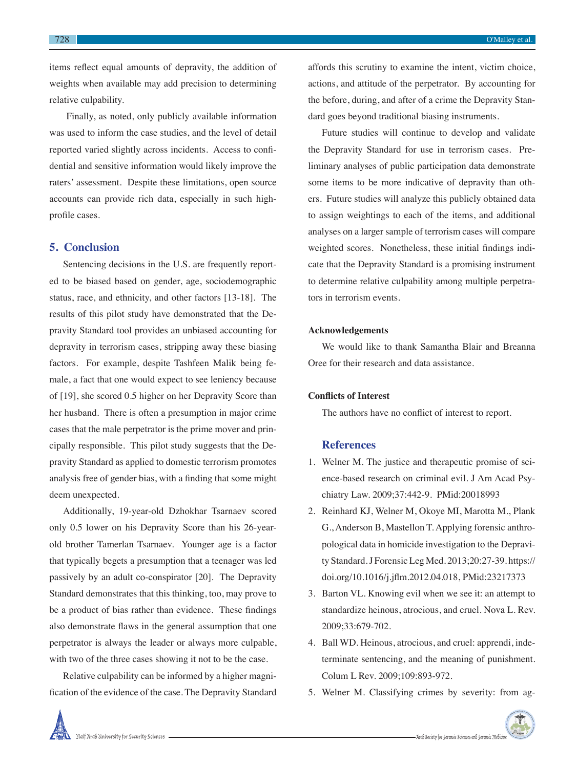items reflect equal amounts of depravity, the addition of weights when available may add precision to determining relative culpability.

 Finally, as noted, only publicly available information was used to inform the case studies, and the level of detail reported varied slightly across incidents. Access to confidential and sensitive information would likely improve the raters' assessment. Despite these limitations, open source accounts can provide rich data, especially in such highprofile cases.

#### **5. Conclusion**

Sentencing decisions in the U.S. are frequently reported to be biased based on gender, age, sociodemographic status, race, and ethnicity, and other factors [13-18]. The results of this pilot study have demonstrated that the Depravity Standard tool provides an unbiased accounting for depravity in terrorism cases, stripping away these biasing factors. For example, despite Tashfeen Malik being female, a fact that one would expect to see leniency because of [19], she scored 0.5 higher on her Depravity Score than her husband. There is often a presumption in major crime cases that the male perpetrator is the prime mover and principally responsible. This pilot study suggests that the Depravity Standard as applied to domestic terrorism promotes analysis free of gender bias, with a finding that some might deem unexpected.

Additionally, 19-year-old Dzhokhar Tsarnaev scored only 0.5 lower on his Depravity Score than his 26-yearold brother Tamerlan Tsarnaev. Younger age is a factor that typically begets a presumption that a teenager was led passively by an adult co-conspirator [20]. The Depravity Standard demonstrates that this thinking, too, may prove to be a product of bias rather than evidence. These findings also demonstrate flaws in the general assumption that one perpetrator is always the leader or always more culpable, with two of the three cases showing it not to be the case.

Relative culpability can be informed by a higher magnification of the evidence of the case. The Depravity Standard affords this scrutiny to examine the intent, victim choice, actions, and attitude of the perpetrator. By accounting for the before, during, and after of a crime the Depravity Standard goes beyond traditional biasing instruments.

Future studies will continue to develop and validate the Depravity Standard for use in terrorism cases. Preliminary analyses of public participation data demonstrate some items to be more indicative of depravity than others. Future studies will analyze this publicly obtained data to assign weightings to each of the items, and additional analyses on a larger sample of terrorism cases will compare weighted scores. Nonetheless, these initial findings indicate that the Depravity Standard is a promising instrument to determine relative culpability among multiple perpetrators in terrorism events.

#### **Acknowledgements**

We would like to thank Samantha Blair and Breanna Oree for their research and data assistance.

#### **Conflicts of Interest**

The authors have no conflict of interest to report.

### **References**

- 1. Welner M. The justice and therapeutic promise of science-based research on criminal evil. J Am Acad Psychiatry Law. 2009;37:442-9. PMid:20018993
- 2. Reinhard KJ, Welner M, Okoye MI, Marotta M., Plank G., Anderson B, Mastellon T. Applying forensic anthropological data in homicide investigation to the Depravity Standard. J Forensic Leg Med. 2013;20:27-39. https:// doi.org/10.1016/j.jflm.2012.04.018, PMid:23217373
- 3. Barton VL. Knowing evil when we see it: an attempt to standardize heinous, atrocious, and cruel. Nova L. Rev. 2009;33:679-702.
- 4. Ball WD. Heinous, atrocious, and cruel: apprendi, indeterminate sentencing, and the meaning of punishment. Colum L Rev. 2009;109:893-972.
- 5. Welner M. Classifying crimes by severity: from ag-